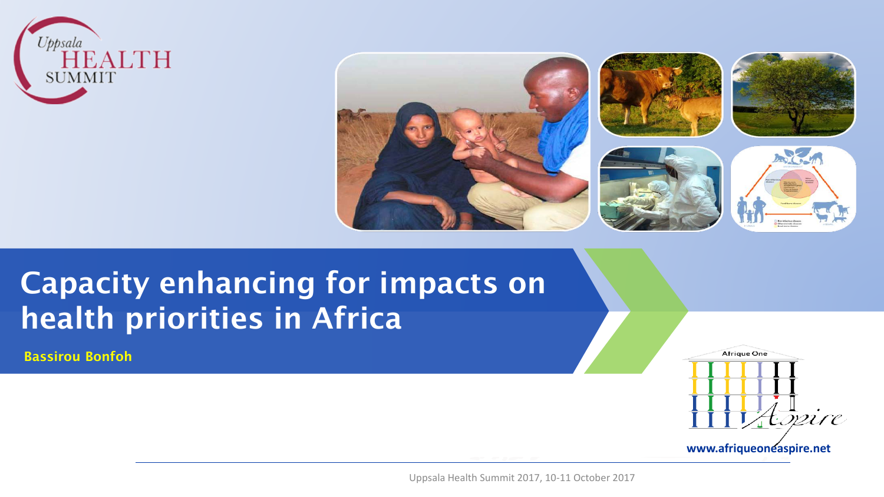











# Capacity enhancing for impacts on health priorities in Africa

Bassirou Bonfoh



Uppsala Health Summit 2017, 10-11 October 2017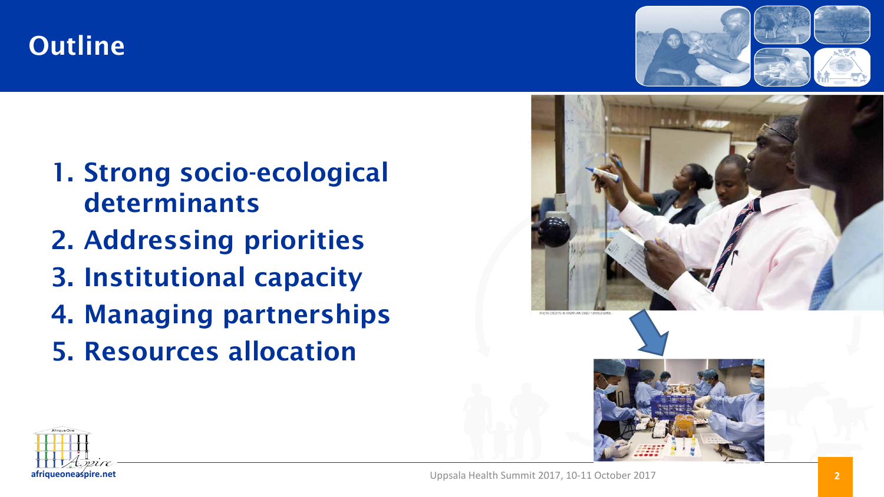### **Outline**

1. Strong socio-ecological

2. Addressing priorities

3. Institutional capacity

5. Resources allocation

4. Managing partnerships

determinants



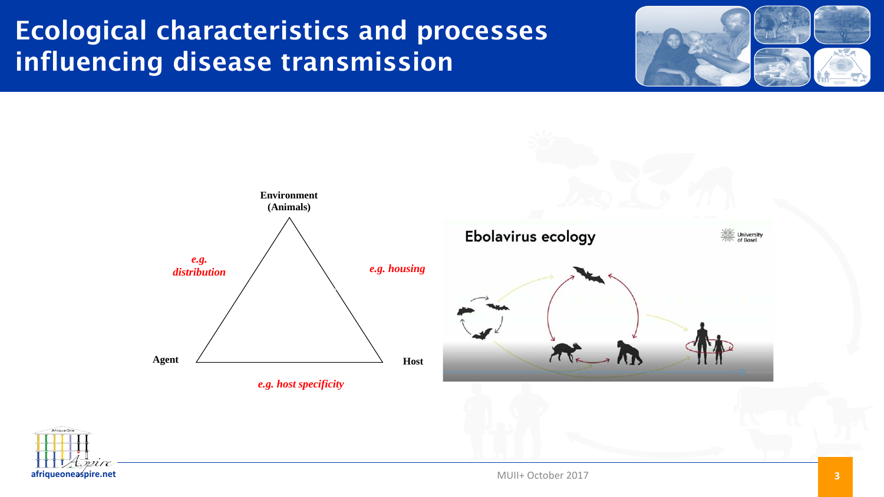## Ecological characteristics and processes influencing disease transmission







MUII+ October 2017 **3**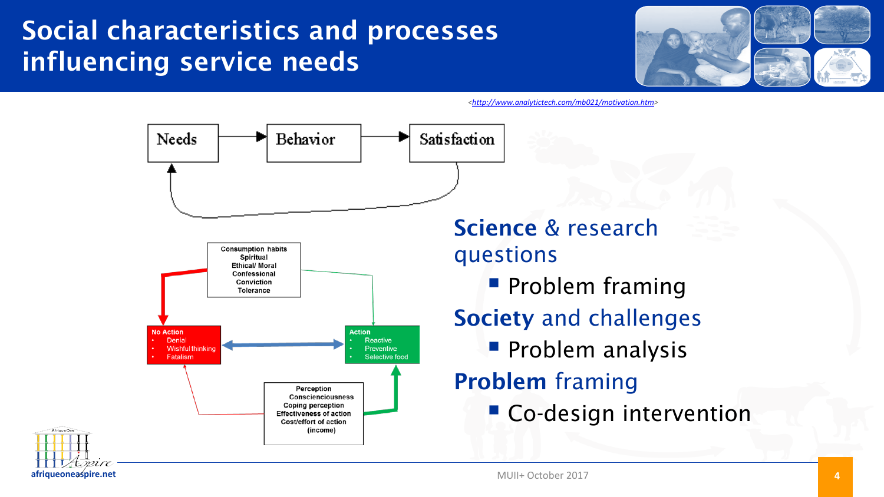# Social characteristics and processes influencing service needs



*<<http://www.analytictech.com/mb021/motivation.htm>>* 

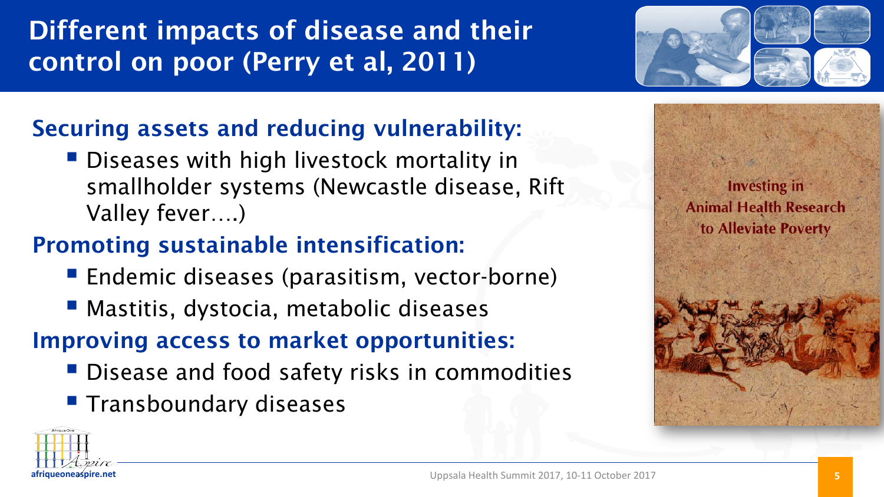# Different impacts of disease and their control on poor (Perry et al, 2011)



#### Securing assets and reducing vulnerability:

**Diseases with high livestock mortality in** smallholder systems (Newcastle disease, Rift Valley fever….)

## Promoting sustainable intensification:

- **Endemic diseases (parasitism, vector-borne)**
- **Mastitis, dystocia, metabolic diseases**

## Improving access to market opportunities:

- **Disease and food safety risks in commodities**
- **Transboundary diseases**





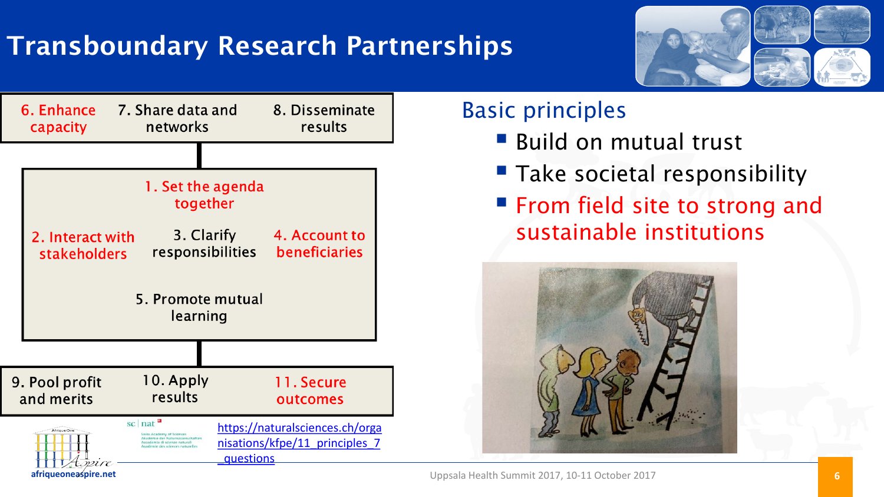# Transboundary Research Partnerships





#### Basic principles

- **Build on mutual trust**
- Take societal responsibility
- **From field site to strong and** sustainable institutions

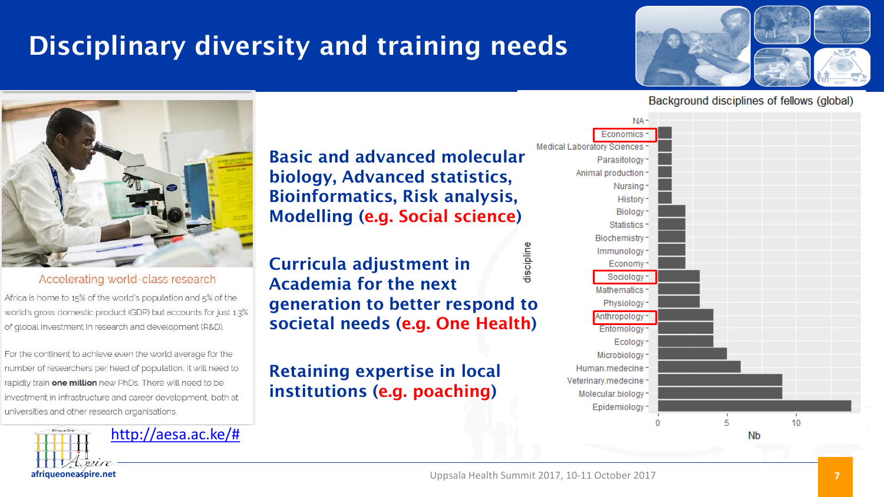# Disciplinary diversity and training needs



#### Background disciplines of fellows (global)



#### Accelerating world-class research

Africa is home to 15% of the world's population and 5% of the world's gross domestic product (GDP) but accounts for just 1.3% of global investment in research and development (R&D).

For the continent to achieve even the world average for the number of researchers per head of population, it will need to rapidly train one million new PhDs. There will need to be investment in infrastructure and career development, both at universities and other research organisations.

> **afriqueoneaspire.net** [http://aesa.ac.ke/#](http://aesa.ac.ke/)

Basic and advanced molecular biology, Advanced statistics, Bioinformatics, Risk analysis, Modelling (e.g. Social science)

discipline Curricula adjustment in Academia for the next generation to better respond to societal needs (e.g. One Health)

#### Retaining expertise in local institutions (e.g. poaching)

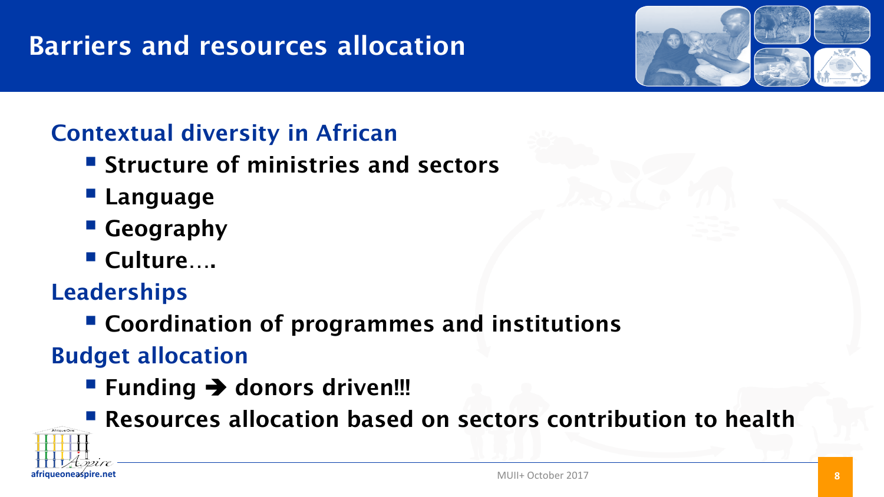# Barriers and resources allocation



#### Contextual diversity in African

- **Structure of ministries and sectors**
- **Language**
- **Geography**
- Culture….

Leaderships

Coordination of programmes and institutions

Budget allocation

- Funding  $\rightarrow$  donors driven!!!
- Resources allocation based on sectors contribution to health